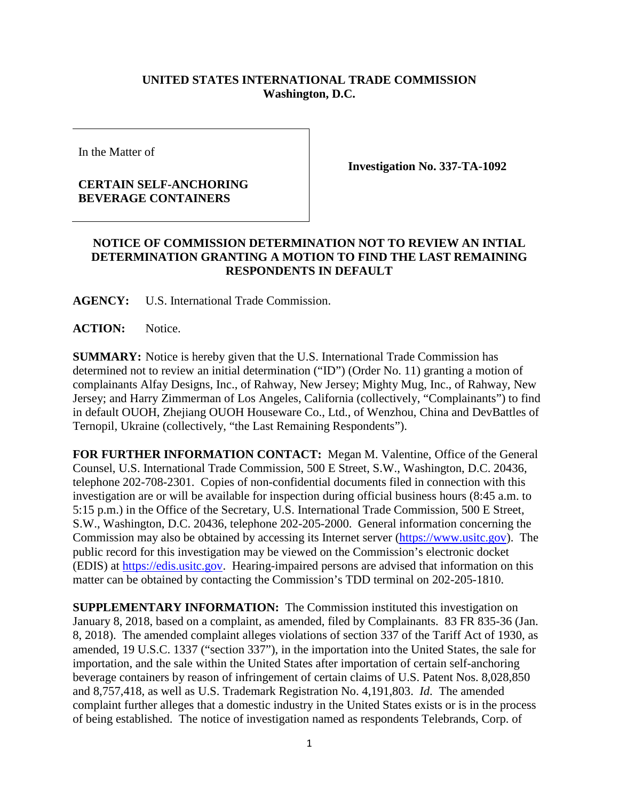## **UNITED STATES INTERNATIONAL TRADE COMMISSION Washington, D.C.**

In the Matter of

## **CERTAIN SELF-ANCHORING BEVERAGE CONTAINERS**

**Investigation No. 337-TA-1092**

## **NOTICE OF COMMISSION DETERMINATION NOT TO REVIEW AN INTIAL DETERMINATION GRANTING A MOTION TO FIND THE LAST REMAINING RESPONDENTS IN DEFAULT**

**AGENCY:** U.S. International Trade Commission.

**ACTION:** Notice.

**SUMMARY:** Notice is hereby given that the U.S. International Trade Commission has determined not to review an initial determination ("ID") (Order No. 11) granting a motion of complainants Alfay Designs, Inc., of Rahway, New Jersey; Mighty Mug, Inc., of Rahway, New Jersey; and Harry Zimmerman of Los Angeles, California (collectively, "Complainants") to find in default OUOH, Zhejiang OUOH Houseware Co., Ltd., of Wenzhou, China and DevBattles of Ternopil, Ukraine (collectively, "the Last Remaining Respondents").

**FOR FURTHER INFORMATION CONTACT:** Megan M. Valentine, Office of the General Counsel, U.S. International Trade Commission, 500 E Street, S.W., Washington, D.C. 20436, telephone 202-708-2301. Copies of non-confidential documents filed in connection with this investigation are or will be available for inspection during official business hours (8:45 a.m. to 5:15 p.m.) in the Office of the Secretary, U.S. International Trade Commission, 500 E Street, S.W., Washington, D.C. 20436, telephone 202-205-2000. General information concerning the Commission may also be obtained by accessing its Internet server [\(https://www.usitc.gov\)](https://www.usitc.gov/). The public record for this investigation may be viewed on the Commission's electronic docket (EDIS) at [https://edis.usitc.gov.](https://edis.usitc.gov/) Hearing-impaired persons are advised that information on this matter can be obtained by contacting the Commission's TDD terminal on 202-205-1810.

**SUPPLEMENTARY INFORMATION:** The Commission instituted this investigation on January 8, 2018, based on a complaint, as amended, filed by Complainants. 83 FR 835-36 (Jan. 8, 2018). The amended complaint alleges violations of section 337 of the Tariff Act of 1930, as amended, 19 U.S.C. 1337 ("section 337"), in the importation into the United States, the sale for importation, and the sale within the United States after importation of certain self-anchoring beverage containers by reason of infringement of certain claims of U.S. Patent Nos. 8,028,850 and 8,757,418, as well as U.S. Trademark Registration No. 4,191,803. *Id*. The amended complaint further alleges that a domestic industry in the United States exists or is in the process of being established. The notice of investigation named as respondents Telebrands, Corp. of